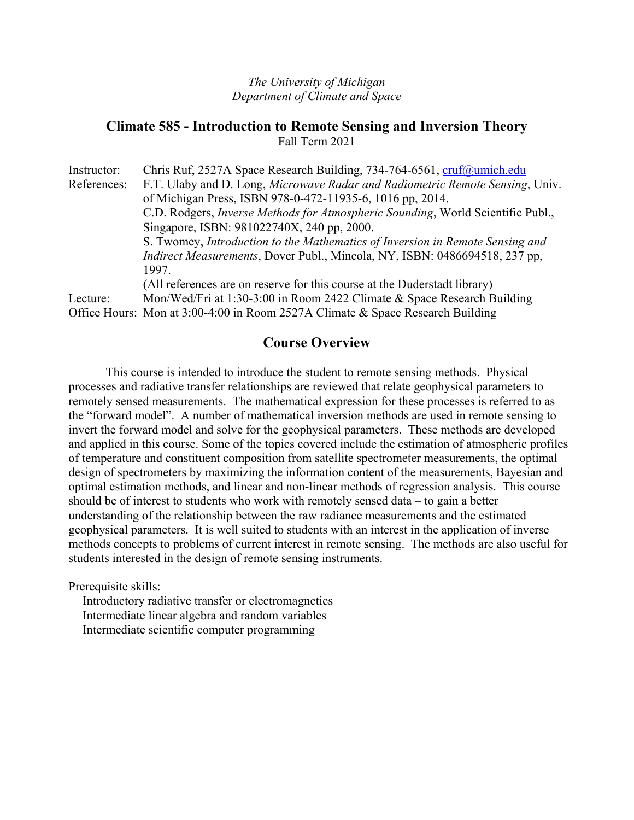#### *The University of Michigan Department of Climate and Space*

#### **Climate 585 - Introduction to Remote Sensing and Inversion Theory**  Fall Term 2021

| Instructor: | Chris Ruf, 2527A Space Research Building, 734-764-6561, cruf@umich.edu                  |
|-------------|-----------------------------------------------------------------------------------------|
| References: | F.T. Ulaby and D. Long, Microwave Radar and Radiometric Remote Sensing, Univ.           |
|             | of Michigan Press, ISBN 978-0-472-11935-6, 1016 pp, 2014.                               |
|             | C.D. Rodgers, <i>Inverse Methods for Atmospheric Sounding</i> , World Scientific Publ., |
|             | Singapore, ISBN: 981022740X, 240 pp, 2000.                                              |
|             | S. Twomey, Introduction to the Mathematics of Inversion in Remote Sensing and           |
|             | Indirect Measurements, Dover Publ., Mineola, NY, ISBN: 0486694518, 237 pp,              |
|             | 1997.                                                                                   |
|             | (All references are on reserve for this course at the Duderstadt library)               |
| Lecture:    | Mon/Wed/Fri at 1:30-3:00 in Room 2422 Climate & Space Research Building                 |
|             | Office Hours: Mon at 3:00-4:00 in Room 2527A Climate & Space Research Building          |

### **Course Overview**

 This course is intended to introduce the student to remote sensing methods. Physical processes and radiative transfer relationships are reviewed that relate geophysical parameters to remotely sensed measurements. The mathematical expression for these processes is referred to as the "forward model". A number of mathematical inversion methods are used in remote sensing to invert the forward model and solve for the geophysical parameters. These methods are developed and applied in this course. Some of the topics covered include the estimation of atmospheric profiles of temperature and constituent composition from satellite spectrometer measurements, the optimal design of spectrometers by maximizing the information content of the measurements, Bayesian and optimal estimation methods, and linear and non-linear methods of regression analysis. This course should be of interest to students who work with remotely sensed data – to gain a better understanding of the relationship between the raw radiance measurements and the estimated geophysical parameters. It is well suited to students with an interest in the application of inverse methods concepts to problems of current interest in remote sensing. The methods are also useful for students interested in the design of remote sensing instruments.

Prerequisite skills:

Introductory radiative transfer or electromagnetics Intermediate linear algebra and random variables Intermediate scientific computer programming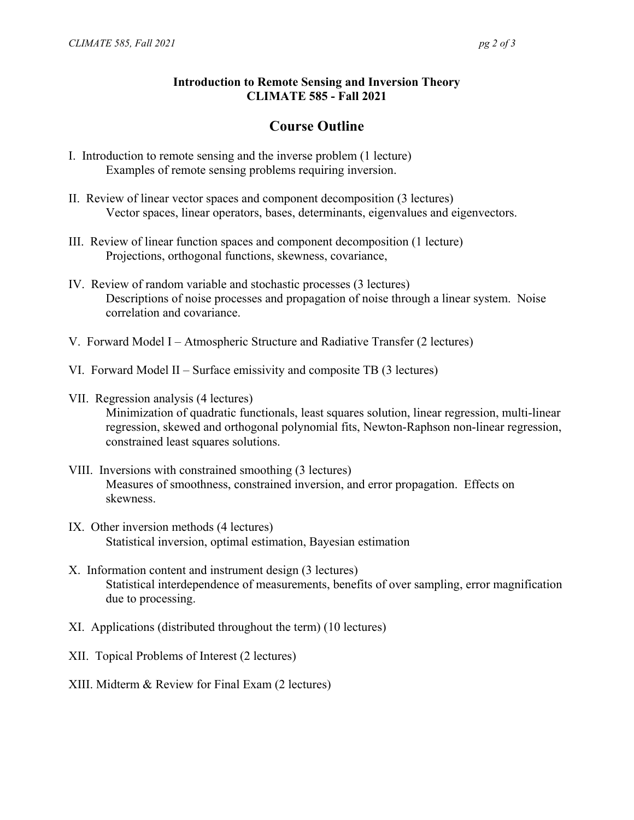### **Introduction to Remote Sensing and Inversion Theory CLIMATE 585 - Fall 2021**

# **Course Outline**

- I. Introduction to remote sensing and the inverse problem (1 lecture) Examples of remote sensing problems requiring inversion.
- II. Review of linear vector spaces and component decomposition (3 lectures) Vector spaces, linear operators, bases, determinants, eigenvalues and eigenvectors.
- III. Review of linear function spaces and component decomposition (1 lecture) Projections, orthogonal functions, skewness, covariance,
- IV. Review of random variable and stochastic processes (3 lectures) Descriptions of noise processes and propagation of noise through a linear system. Noise correlation and covariance.
- V. Forward Model I Atmospheric Structure and Radiative Transfer (2 lectures)
- VI. Forward Model II Surface emissivity and composite TB (3 lectures)
- VII. Regression analysis (4 lectures) Minimization of quadratic functionals, least squares solution, linear regression, multi-linear regression, skewed and orthogonal polynomial fits, Newton-Raphson non-linear regression, constrained least squares solutions.
- VIII. Inversions with constrained smoothing (3 lectures) Measures of smoothness, constrained inversion, and error propagation. Effects on skewness.
- IX. Other inversion methods (4 lectures) Statistical inversion, optimal estimation, Bayesian estimation
- X. Information content and instrument design (3 lectures) Statistical interdependence of measurements, benefits of over sampling, error magnification due to processing.
- XI. Applications (distributed throughout the term) (10 lectures)
- XII. Topical Problems of Interest (2 lectures)
- XIII. Midterm & Review for Final Exam (2 lectures)